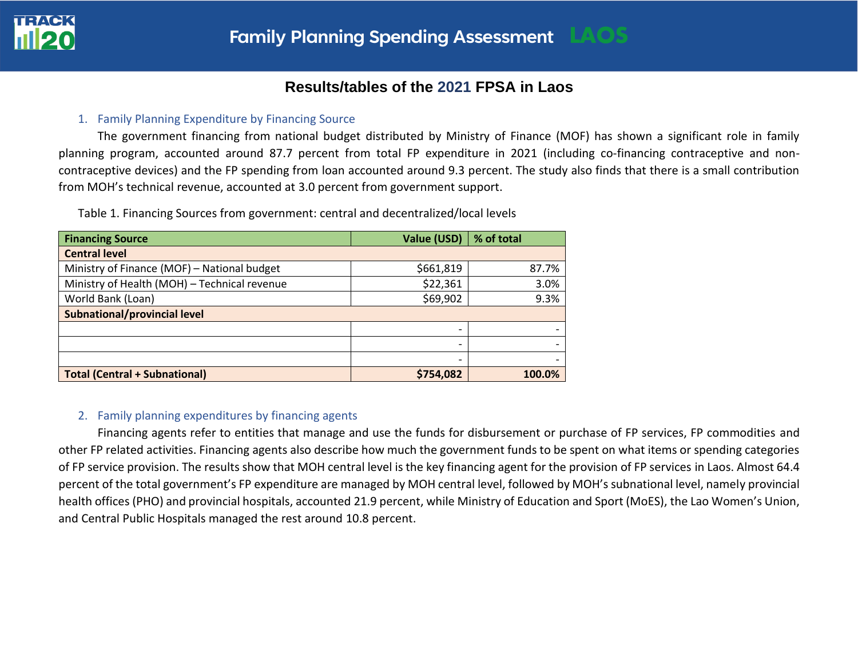

# **Results/tables of the 2021 FPSA in Laos**

### 1. Family Planning Expenditure by Financing Source

The government financing from national budget distributed by Ministry of Finance (MOF) has shown a significant role in family planning program, accounted around 87.7 percent from total FP expenditure in 2021 (including co-financing contraceptive and noncontraceptive devices) and the FP spending from loan accounted around 9.3 percent. The study also finds that there is a small contribution from MOH's technical revenue, accounted at 3.0 percent from government support.

Table 1. Financing Sources from government: central and decentralized/local levels

| <b>Financing Source</b>                      | Value (USD) | % of total |
|----------------------------------------------|-------------|------------|
| <b>Central level</b>                         |             |            |
| Ministry of Finance (MOF) - National budget  | \$661,819   | 87.7%      |
| Ministry of Health (MOH) - Technical revenue | \$22,361    | 3.0%       |
| World Bank (Loan)                            | \$69,902    | 9.3%       |
| Subnational/provincial level                 |             |            |
|                                              |             |            |
|                                              | -           |            |
|                                              | -           |            |
| <b>Total (Central + Subnational)</b>         | \$754,082   | 100.0%     |

## 2. Family planning expenditures by financing agents

Financing agents refer to entities that manage and use the funds for disbursement or purchase of FP services, FP commodities and other FP related activities. Financing agents also describe how much the government funds to be spent on what items or spending categories of FP service provision. The results show that MOH central level is the key financing agent for the provision of FP services in Laos. Almost 64.4 percent of the total government's FP expenditure are managed by MOH central level, followed by MOH's subnational level, namely provincial health offices (PHO) and provincial hospitals, accounted 21.9 percent, while Ministry of Education and Sport (MoES), the Lao Women's Union, and Central Public Hospitals managed the rest around 10.8 percent.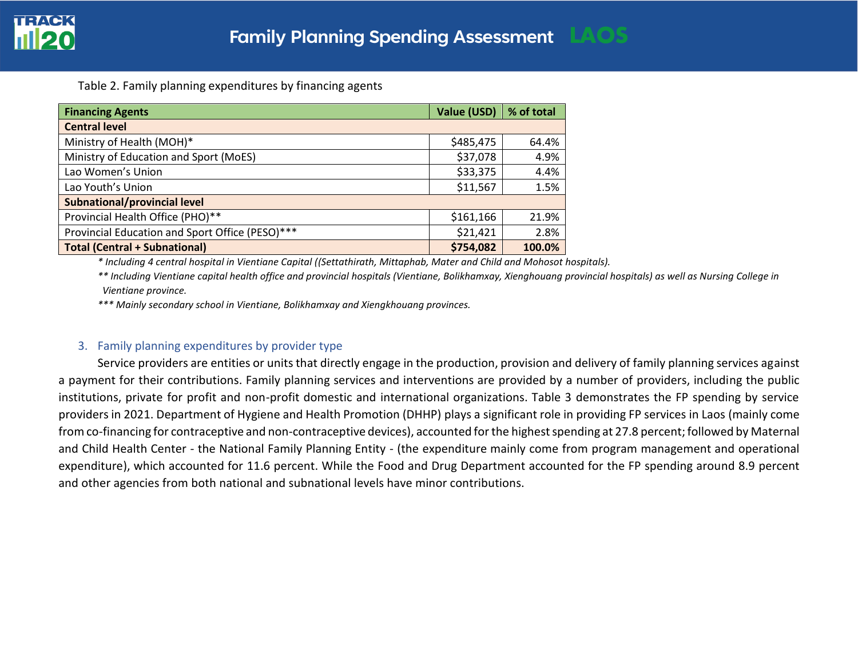Table 2. Family planning expenditures by financing agents

| <b>Financing Agents</b>                         | Value (USD) | % of total |
|-------------------------------------------------|-------------|------------|
| <b>Central level</b>                            |             |            |
| Ministry of Health (MOH)*                       | \$485,475   | 64.4%      |
| Ministry of Education and Sport (MoES)          | \$37,078    | 4.9%       |
| Lao Women's Union                               | \$33,375    | 4.4%       |
| Lao Youth's Union                               | \$11,567    | 1.5%       |
| <b>Subnational/provincial level</b>             |             |            |
| Provincial Health Office (PHO)**                | \$161,166   | 21.9%      |
| Provincial Education and Sport Office (PESO)*** | \$21,421    | 2.8%       |
| <b>Total (Central + Subnational)</b>            | \$754,082   | 100.0%     |

*\* Including 4 central hospital in Vientiane Capital ((Settathirath, Mittaphab, Mater and Child and Mohosot hospitals).*

*\*\* Including Vientiane capital health office and provincial hospitals (Vientiane, Bolikhamxay, Xienghouang provincial hospitals) as well as Nursing College in Vientiane province.*

*\*\*\* Mainly secondary school in Vientiane, Bolikhamxay and Xiengkhouang provinces.*

### 3. Family planning expenditures by provider type

Service providers are entities or units that directly engage in the production, provision and delivery of family planning services against a payment for their contributions. Family planning services and interventions are provided by a number of providers, including the public institutions, private for profit and non-profit domestic and international organizations. Table 3 demonstrates the FP spending by service providers in 2021. Department of Hygiene and Health Promotion (DHHP) plays a significant role in providing FP services in Laos (mainly come from co-financing for contraceptive and non-contraceptive devices), accounted for the highest spending at 27.8 percent; followed by Maternal and Child Health Center - the National Family Planning Entity - (the expenditure mainly come from program management and operational expenditure), which accounted for 11.6 percent. While the Food and Drug Department accounted for the FP spending around 8.9 percent and other agencies from both national and subnational levels have minor contributions.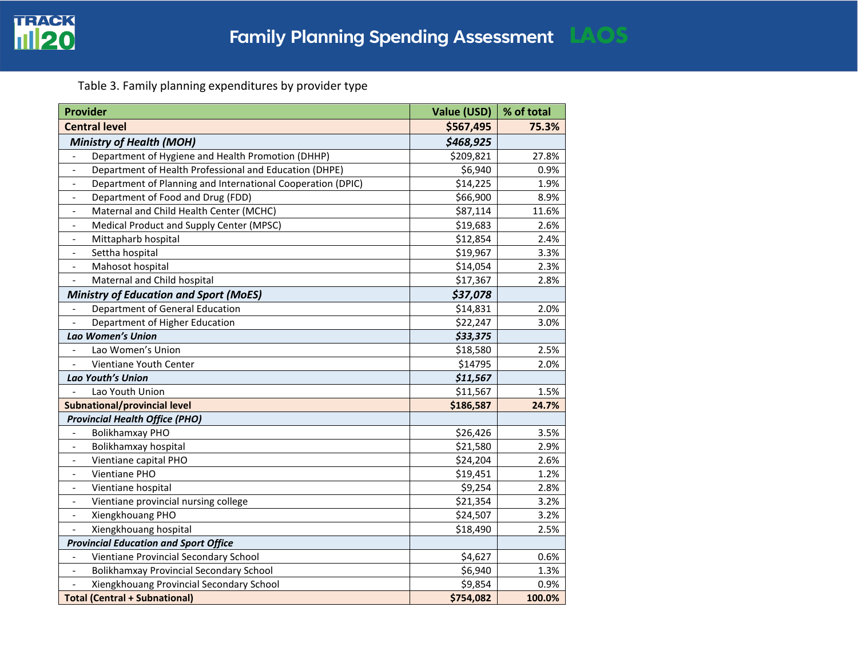

Table 3. Family planning expenditures by provider type

| <b>Provider</b>                                                               | <b>Value (USD)</b> | % of total |
|-------------------------------------------------------------------------------|--------------------|------------|
| <b>Central level</b>                                                          | \$567,495          | 75.3%      |
| <b>Ministry of Health (MOH)</b>                                               | \$468,925          |            |
| Department of Hygiene and Health Promotion (DHHP)<br>$\overline{\phantom{a}}$ | \$209,821          | 27.8%      |
| Department of Health Professional and Education (DHPE)<br>$\blacksquare$      | \$6,940            | 0.9%       |
| Department of Planning and International Cooperation (DPIC)<br>$\blacksquare$ | \$14,225           | 1.9%       |
| Department of Food and Drug (FDD)<br>$\blacksquare$                           | \$66,900           | 8.9%       |
| Maternal and Child Health Center (MCHC)<br>$\blacksquare$                     | \$87,114           | 11.6%      |
| Medical Product and Supply Center (MPSC)<br>$\overline{\phantom{a}}$          | \$19,683           | 2.6%       |
| Mittapharb hospital<br>$\overline{\phantom{a}}$                               | \$12,854           | 2.4%       |
| Settha hospital<br>$\overline{\phantom{a}}$                                   | \$19,967           | 3.3%       |
| Mahosot hospital<br>$\overline{\phantom{a}}$                                  | \$14,054           | 2.3%       |
| Maternal and Child hospital<br>$\overline{\phantom{a}}$                       | \$17,367           | 2.8%       |
| <b>Ministry of Education and Sport (MoES)</b>                                 | \$37,078           |            |
| Department of General Education<br>$\overline{\phantom{a}}$                   | \$14,831           | 2.0%       |
| Department of Higher Education                                                | \$22,247           | 3.0%       |
| Lao Women's Union                                                             | \$33,375           |            |
| Lao Women's Union                                                             | \$18,580           | 2.5%       |
| Vientiane Youth Center                                                        | \$14795            | 2.0%       |
| Lao Youth's Union                                                             | \$11,567           |            |
| Lao Youth Union                                                               | \$11,567           | 1.5%       |
| Subnational/provincial level                                                  | \$186,587          | 24.7%      |
| <b>Provincial Health Office (PHO)</b>                                         |                    |            |
| <b>Bolikhamxay PHO</b>                                                        | \$26,426           | 3.5%       |
| Bolikhamxay hospital                                                          | \$21,580           | 2.9%       |
| Vientiane capital PHO<br>$\overline{\phantom{a}}$                             | \$24,204           | 2.6%       |
| Vientiane PHO<br>$\overline{\phantom{a}}$                                     | \$19,451           | 1.2%       |
| Vientiane hospital<br>$\qquad \qquad \blacksquare$                            | \$9,254            | 2.8%       |
| Vientiane provincial nursing college<br>$\overline{\phantom{a}}$              | \$21,354           | 3.2%       |
| Xiengkhouang PHO<br>$\overline{\phantom{a}}$                                  | \$24,507           | 3.2%       |
| Xiengkhouang hospital<br>$\Box$                                               | \$18,490           | 2.5%       |
| <b>Provincial Education and Sport Office</b>                                  |                    |            |
| Vientiane Provincial Secondary School<br>$\blacksquare$                       | \$4,627            | 0.6%       |
| <b>Bolikhamxay Provincial Secondary School</b><br>$\overline{\phantom{a}}$    | \$6,940            | 1.3%       |
| Xiengkhouang Provincial Secondary School                                      | \$9,854            | 0.9%       |
| <b>Total (Central + Subnational)</b>                                          | \$754,082          | 100.0%     |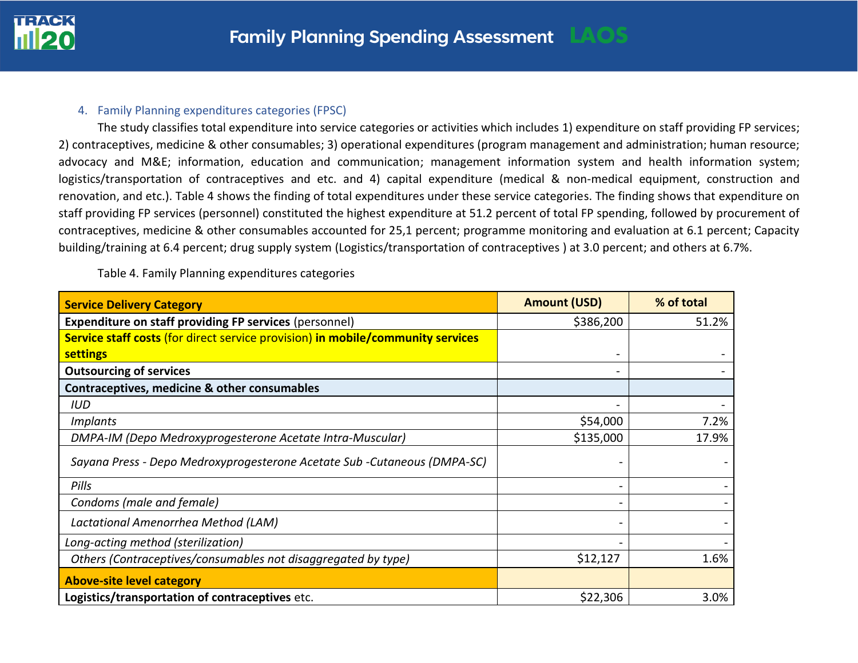

#### 4. Family Planning expenditures categories (FPSC)

The study classifies total expenditure into service categories or activities which includes 1) expenditure on staff providing FP services; 2) contraceptives, medicine & other consumables; 3) operational expenditures (program management and administration; human resource; advocacy and M&E; information, education and communication; management information system and health information system; logistics/transportation of contraceptives and etc. and 4) capital expenditure (medical & non-medical equipment, construction and renovation, and etc.). Table 4 shows the finding of total expenditures under these service categories. The finding shows that expenditure on staff providing FP services (personnel) constituted the highest expenditure at 51.2 percent of total FP spending, followed by procurement of contraceptives, medicine & other consumables accounted for 25,1 percent; programme monitoring and evaluation at 6.1 percent; Capacity building/training at 6.4 percent; drug supply system (Logistics/transportation of contraceptives ) at 3.0 percent; and others at 6.7%.

Table 4. Family Planning expenditures categories

| <b>Service Delivery Category</b>                                                | <b>Amount (USD)</b> | % of total |
|---------------------------------------------------------------------------------|---------------------|------------|
| <b>Expenditure on staff providing FP services (personnel)</b>                   | \$386,200           | 51.2%      |
| Service staff costs (for direct service provision) in mobile/community services |                     |            |
| <b>settings</b>                                                                 |                     |            |
| <b>Outsourcing of services</b>                                                  |                     |            |
| Contraceptives, medicine & other consumables                                    |                     |            |
| IUD                                                                             |                     |            |
| <i>Implants</i>                                                                 | \$54,000            | 7.2%       |
| DMPA-IM (Depo Medroxyprogesterone Acetate Intra-Muscular)                       | \$135,000           | 17.9%      |
| Sayana Press - Depo Medroxyprogesterone Acetate Sub -Cutaneous (DMPA-SC)        |                     |            |
| Pills                                                                           |                     |            |
| Condoms (male and female)                                                       |                     |            |
| Lactational Amenorrhea Method (LAM)                                             |                     |            |
| Long-acting method (sterilization)                                              |                     |            |
| Others (Contraceptives/consumables not disaggregated by type)                   | \$12,127            | 1.6%       |
| <b>Above-site level category</b>                                                |                     |            |
| Logistics/transportation of contraceptives etc.                                 | \$22,306            | 3.0%       |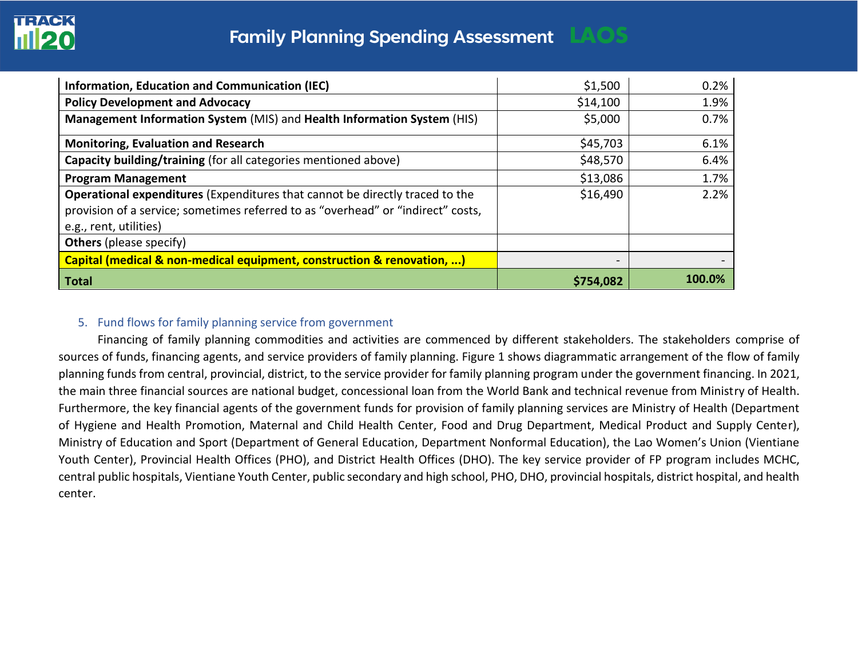

| <b>Information, Education and Communication (IEC)</b>                                                                                                                                      | \$1,500         | 0.2%   |
|--------------------------------------------------------------------------------------------------------------------------------------------------------------------------------------------|-----------------|--------|
| <b>Policy Development and Advocacy</b>                                                                                                                                                     | \$14,100        | 1.9%   |
| Management Information System (MIS) and Health Information System (HIS)                                                                                                                    | \$5,000         | 0.7%   |
| <b>Monitoring, Evaluation and Research</b>                                                                                                                                                 | \$45,703        | 6.1%   |
| Capacity building/training (for all categories mentioned above)                                                                                                                            | \$48,570        | 6.4%   |
| <b>Program Management</b>                                                                                                                                                                  | \$13,086        | 1.7%   |
| Operational expenditures (Expenditures that cannot be directly traced to the<br>provision of a service; sometimes referred to as "overhead" or "indirect" costs,<br>e.g., rent, utilities) | \$16,490        | 2.2%   |
| <b>Others</b> (please specify)                                                                                                                                                             |                 |        |
| Capital (medical & non-medical equipment, construction & renovation, )                                                                                                                     | $\qquad \qquad$ |        |
| Total                                                                                                                                                                                      | \$754,082       | 100.0% |

## 5. Fund flows for family planning service from government

Financing of family planning commodities and activities are commenced by different stakeholders. The stakeholders comprise of sources of funds, financing agents, and service providers of family planning. Figure 1 shows diagrammatic arrangement of the flow of family planning funds from central, provincial, district, to the service provider for family planning program under the government financing. In 2021, the main three financial sources are national budget, concessional loan from the World Bank and technical revenue from Ministry of Health. Furthermore, the key financial agents of the government funds for provision of family planning services are Ministry of Health (Department of Hygiene and Health Promotion, Maternal and Child Health Center, Food and Drug Department, Medical Product and Supply Center), Ministry of Education and Sport (Department of General Education, Department Nonformal Education), the Lao Women's Union (Vientiane Youth Center), Provincial Health Offices (PHO), and District Health Offices (DHO). The key service provider of FP program includes MCHC, central public hospitals, Vientiane Youth Center, public secondary and high school, PHO, DHO, provincial hospitals, district hospital, and health center.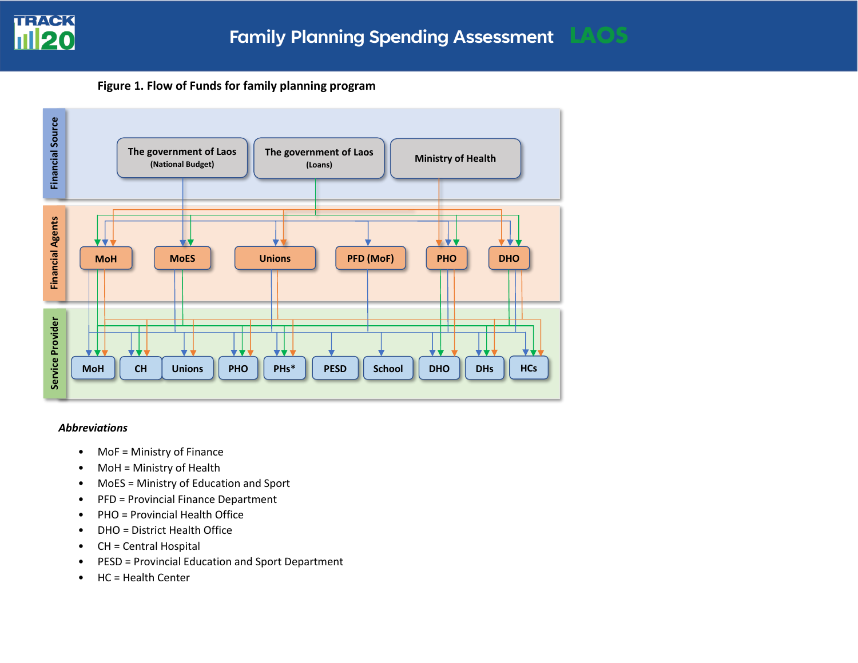

**Figure 1. Flow of Funds for family planning program**



#### *Abbreviations*

- MoF = Ministry of Finance
- MoH = Ministry of Health
- MoES = Ministry of Education and Sport
- PFD = Provincial Finance Department
- PHO = Provincial Health Office
- DHO = District Health Office
- CH = Central Hospital
- PESD = Provincial Education and Sport Department
- HC = Health Center